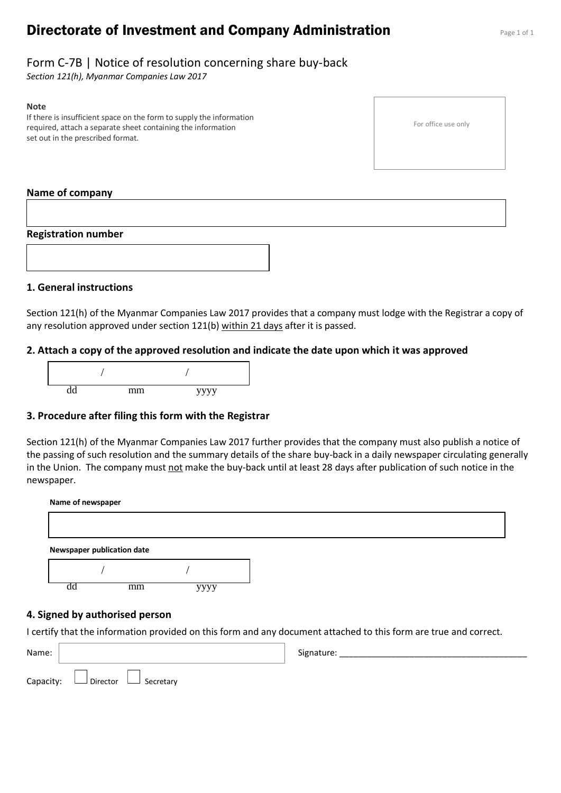# **Directorate of Investment and Company Administration** Page 1 of 1

For office use only

### Form C-7B | Notice of resolution concerning share buy-back

*Section 121(h), Myanmar Companies Law 2017*

#### **Note**

If there is insufficient space on the form to supply the information required, attach a separate sheet containing the information set out in the prescribed format.

#### **Name of company**

#### **Registration number**



#### **1. General instructions**

Section 121(h) of the Myanmar Companies Law 2017 provides that a company must lodge with the Registrar a copy of any resolution approved under section 121(b) within 21 days after it is passed.

#### **2. Attach a copy of the approved resolution and indicate the date upon which it was approved**



#### **3. Procedure after filing this form with the Registrar**

Section 121(h) of the Myanmar Companies Law 2017 further provides that the company must also publish a notice of the passing of such resolution and the summary details of the share buy-back in a daily newspaper circulating generally in the Union. The company must not make the buy-back until at least 28 days after publication of such notice in the newspaper.

| Name of newspaper          |  |  |  |  |
|----------------------------|--|--|--|--|
|                            |  |  |  |  |
|                            |  |  |  |  |
| Newspaper publication date |  |  |  |  |
|                            |  |  |  |  |

#### **4. Signed by authorised person**

I certify that the information provided on this form and any document attached to this form are true and correct.

| Name: |                                            | Signature: |
|-------|--------------------------------------------|------------|
|       | Capacity: $\Box$ Director $\Box$ Secretary |            |